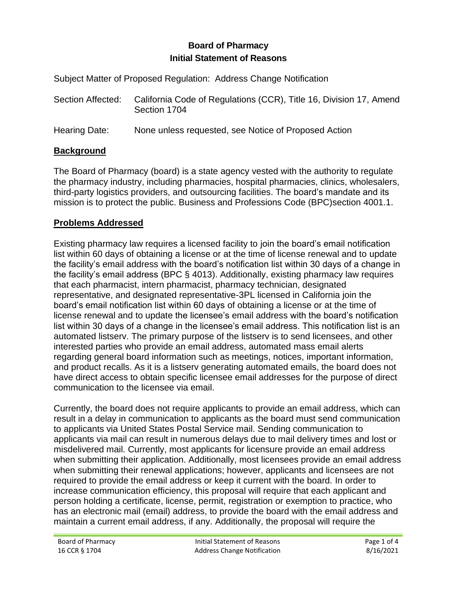# **Board of Pharmacy Initial Statement of Reasons**

Subject Matter of Proposed Regulation: Address Change Notification

| Section Affected: | California Code of Regulations (CCR), Title 16, Division 17, Amend<br>Section 1704 |
|-------------------|------------------------------------------------------------------------------------|
| Hearing Date:     | None unless requested, see Notice of Proposed Action                               |

# **Background**

The Board of Pharmacy (board) is a state agency vested with the authority to regulate the pharmacy industry, including pharmacies, hospital pharmacies, clinics, wholesalers, third-party logistics providers, and outsourcing facilities. The board's mandate and its mission is to protect the public. Business and Professions Code (BPC)section 4001.1.

# **Problems Addressed**

Existing pharmacy law requires a licensed facility to join the board's email notification list within 60 days of obtaining a license or at the time of license renewal and to update the facility's email address with the board's notification list within 30 days of a change in the facility's email address (BPC § 4013). Additionally, existing pharmacy law requires that each pharmacist, intern pharmacist, pharmacy technician, designated representative, and designated representative-3PL licensed in California join the board's email notification list within 60 days of obtaining a license or at the time of license renewal and to update the licensee's email address with the board's notification list within 30 days of a change in the licensee's email address. This notification list is an automated listserv. The primary purpose of the listserv is to send licensees, and other interested parties who provide an email address, automated mass email alerts regarding general board information such as meetings, notices, important information, and product recalls. As it is a listserv generating automated emails, the board does not have direct access to obtain specific licensee email addresses for the purpose of direct communication to the licensee via email.

Currently, the board does not require applicants to provide an email address, which can result in a delay in communication to applicants as the board must send communication to applicants via United States Postal Service mail. Sending communication to applicants via mail can result in numerous delays due to mail delivery times and lost or misdelivered mail. Currently, most applicants for licensure provide an email address when submitting their application. Additionally, most licensees provide an email address when submitting their renewal applications; however, applicants and licensees are not required to provide the email address or keep it current with the board. In order to increase communication efficiency, this proposal will require that each applicant and person holding a certificate, license, permit, registration or exemption to practice, who has an electronic mail (email) address, to provide the board with the email address and maintain a current email address, if any. Additionally, the proposal will require the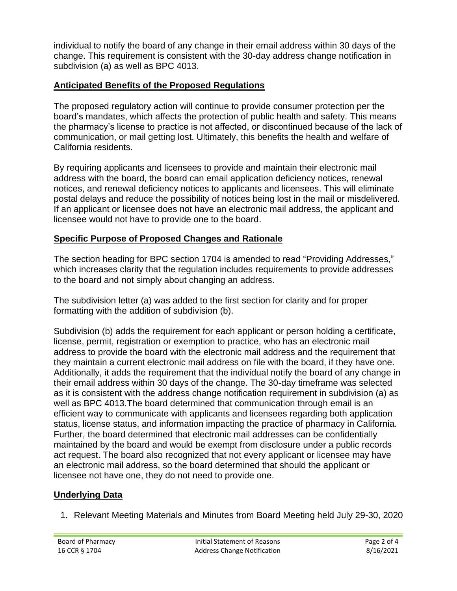individual to notify the board of any change in their email address within 30 days of the change. This requirement is consistent with the 30-day address change notification in subdivision (a) as well as BPC 4013.

# **Anticipated Benefits of the Proposed Regulations**

The proposed regulatory action will continue to provide consumer protection per the board's mandates, which affects the protection of public health and safety. This means the pharmacy's license to practice is not affected, or discontinued because of the lack of communication, or mail getting lost. Ultimately, this benefits the health and welfare of California residents.

By requiring applicants and licensees to provide and maintain their electronic mail address with the board, the board can email application deficiency notices, renewal notices, and renewal deficiency notices to applicants and licensees. This will eliminate postal delays and reduce the possibility of notices being lost in the mail or misdelivered. If an applicant or licensee does not have an electronic mail address, the applicant and licensee would not have to provide one to the board.

### **Specific Purpose of Proposed Changes and Rationale**

The section heading for BPC section 1704 is amended to read "Providing Addresses," which increases clarity that the regulation includes requirements to provide addresses to the board and not simply about changing an address.

The subdivision letter (a) was added to the first section for clarity and for proper formatting with the addition of subdivision (b).

Subdivision (b) adds the requirement for each applicant or person holding a certificate, license, permit, registration or exemption to practice, who has an electronic mail address to provide the board with the electronic mail address and the requirement that they maintain a current electronic mail address on file with the board, if they have one. Additionally, it adds the requirement that the individual notify the board of any change in their email address within 30 days of the change. The 30-day timeframe was selected as it is consistent with the address change notification requirement in subdivision (a) as well as BPC 4013.The board determined that communication through email is an efficient way to communicate with applicants and licensees regarding both application status, license status, and information impacting the practice of pharmacy in California. Further, the board determined that electronic mail addresses can be confidentially maintained by the board and would be exempt from disclosure under a public records act request. The board also recognized that not every applicant or licensee may have an electronic mail address, so the board determined that should the applicant or licensee not have one, they do not need to provide one.

### **Underlying Data**

1. Relevant Meeting Materials and Minutes from Board Meeting held July 29-30, 2020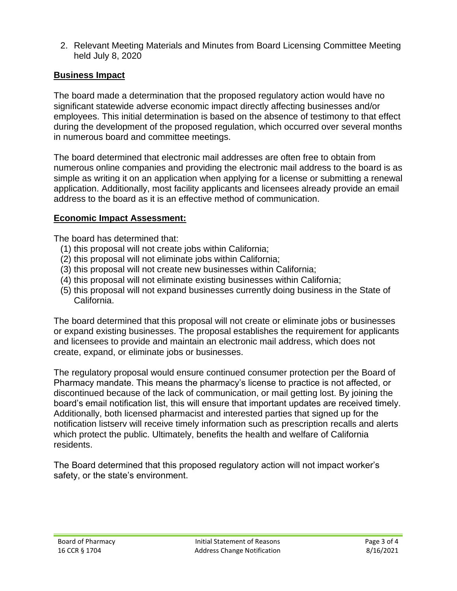2. Relevant Meeting Materials and Minutes from Board Licensing Committee Meeting held July 8, 2020

#### **Business Impact**

The board made a determination that the proposed regulatory action would have no significant statewide adverse economic impact directly affecting businesses and/or employees. This initial determination is based on the absence of testimony to that effect during the development of the proposed regulation, which occurred over several months in numerous board and committee meetings.

The board determined that electronic mail addresses are often free to obtain from numerous online companies and providing the electronic mail address to the board is as simple as writing it on an application when applying for a license or submitting a renewal application. Additionally, most facility applicants and licensees already provide an email address to the board as it is an effective method of communication.

### **Economic Impact Assessment:**

The board has determined that:

- (1) this proposal will not create jobs within California;
- (2) this proposal will not eliminate jobs within California;
- (3) this proposal will not create new businesses within California;
- (4) this proposal will not eliminate existing businesses within California;
- (5) this proposal will not expand businesses currently doing business in the State of California.

The board determined that this proposal will not create or eliminate jobs or businesses or expand existing businesses. The proposal establishes the requirement for applicants and licensees to provide and maintain an electronic mail address, which does not create, expand, or eliminate jobs or businesses.

The regulatory proposal would ensure continued consumer protection per the Board of Pharmacy mandate. This means the pharmacy's license to practice is not affected, or discontinued because of the lack of communication, or mail getting lost. By joining the board's email notification list, this will ensure that important updates are received timely. Additionally, both licensed pharmacist and interested parties that signed up for the notification listserv will receive timely information such as prescription recalls and alerts which protect the public. Ultimately, benefits the health and welfare of California residents.

The Board determined that this proposed regulatory action will not impact worker's safety, or the state's environment.